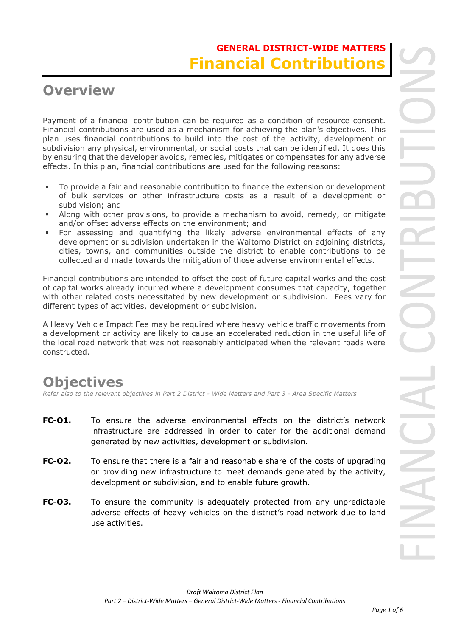# **Overview**

Payment of a financial contribution can be required as a condition of resource consent. Financial contributions are used as a mechanism for achieving the plan's objectives. This plan uses financial contributions to build into the cost of the activity, development or subdivision any physical, environmental, or social costs that can be identified. It does this by ensuring that the developer avoids, remedies, mitigates or compensates for any adverse effects. In this plan, financial contributions are used for the following reasons:

- To provide a fair and reasonable contribution to finance the extension or development of bulk services or other infrastructure costs as a result of a development or subdivision; and
- Along with other provisions, to provide a mechanism to avoid, remedy, or mitigate and/or offset adverse effects on the environment; and
- For assessing and quantifying the likely adverse environmental effects of any development or subdivision undertaken in the Waitomo District on adjoining districts, cities, towns, and communities outside the district to enable contributions to be collected and made towards the mitigation of those adverse environmental effects.

Financial contributions are intended to offset the cost of future capital works and the cost of capital works already incurred where a development consumes that capacity, together with other related costs necessitated by new development or subdivision. Fees vary for different types of activities, development or subdivision.

A Heavy Vehicle Impact Fee may be required where heavy vehicle traffic movements from a development or activity are likely to cause an accelerated reduction in the useful life of the local road network that was not reasonably anticipated when the relevant roads were constructed.

# **Objectives**

*Refer also to the relevant objectives in Part 2 District - Wide Matters and Part 3 - Area Specific Matters*

- **FC-O1.** To ensure the adverse environmental effects on the district's network infrastructure are addressed in order to cater for the additional demand generated by new activities, development or subdivision.
- **FC-O2.** To ensure that there is a fair and reasonable share of the costs of upgrading or providing new infrastructure to meet demands generated by the activity, development or subdivision, and to enable future growth.
- **FC-03.** To ensure the community is adequately protected from any unpredictable adverse effects of heavy vehicles on the district's road network due to land use activities.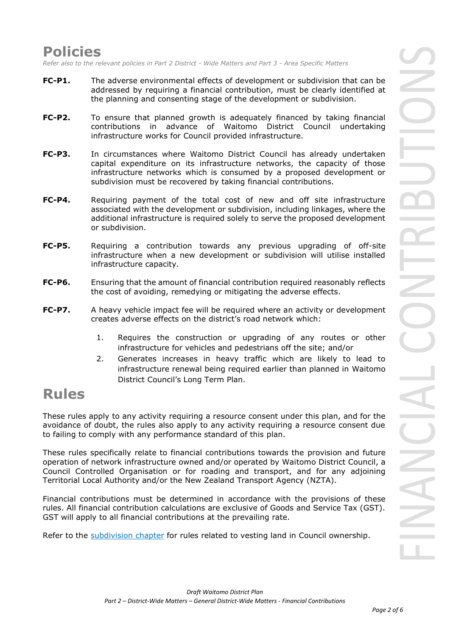### **Policies**

*Refer also to the relevant policies in Part 2 District - Wide Matters and Part 3 - Area Specific Matters*

- **FC-P1.** The adverse environmental effects of development or subdivision that can be addressed by requiring a financial contribution, must be clearly identified at the planning and consenting stage of the development or subdivision.
- **FC-P2.** To ensure that planned growth is adequately financed by taking financial contributions in advance of Waitomo District Council undertaking infrastructure works for Council provided infrastructure.
- **FC-P3.** In circumstances where Waitomo District Council has already undertaken capital expenditure on its infrastructure networks, the capacity of those infrastructure networks which is consumed by a proposed development or subdivision must be recovered by taking financial contributions.
- **FC-P4.** Requiring payment of the total cost of new and off site infrastructure associated with the development or subdivision, including linkages, where the additional infrastructure is required solely to serve the proposed development or subdivision.
- **FC-P5.** Requiring a contribution towards any previous upgrading of off-site infrastructure when a new development or subdivision will utilise installed infrastructure capacity.
- **FC-P6.** Ensuring that the amount of financial contribution required reasonably reflects the cost of avoiding, remedying or mitigating the adverse effects.
- **FC-P7.** A heavy vehicle impact fee will be required where an activity or development creates adverse effects on the district's road network which:
	- 1. Requires the construction or upgrading of any routes or other infrastructure for vehicles and pedestrians off the site; and/or
	- 2. Generates increases in heavy traffic which are likely to lead to infrastructure renewal being required earlier than planned in Waitomo District Council's Long Term Plan.

# **Rules**

These rules apply to any activity requiring a resource consent under this plan, and for the avoidance of doubt, the rules also apply to any activity requiring a resource consent due to failing to comply with any performance standard of this plan.

These rules specifically relate to financial contributions towards the provision and future operation of network infrastructure owned and/or operated by Waitomo District Council, a Council Controlled Organisation or for roading and transport, and for any adjoining Territorial Local Authority and/or the New Zealand Transport Agency (NZTA).

Financial contributions must be determined in accordance with the provisions of these rules. All financial contribution calculations are exclusive of Goods and Service Tax (GST). GST will apply to all financial contributions at the prevailing rate.

Refer to the subdivision chapter for rules related to vesting land in Council ownership.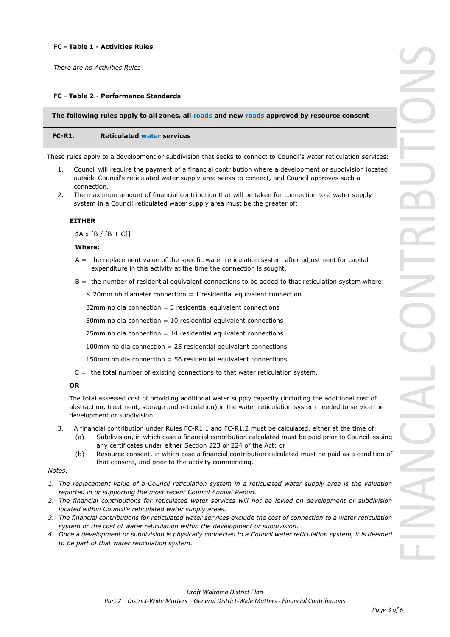#### **FC - Table 1 - Activities Rules**

*There are no Activities Rules*

#### **FC - Table 2 - Performance Standards**

| The following rules apply to all zones, all roads and new roads approved by resource consent |                                                                                                                   |  |  |  |
|----------------------------------------------------------------------------------------------|-------------------------------------------------------------------------------------------------------------------|--|--|--|
| FC-R1.                                                                                       | <b>Reticulated water services</b>                                                                                 |  |  |  |
|                                                                                              | These rules apply to a development or subdivision that seeks to connect to Council's water reticulation services: |  |  |  |

- 1. Council will require the payment of a financial contribution where a development or subdivision located outside Council's reticulated water supply area seeks to connect, and Council approves such a connection.
- 2. The maximum amount of financial contribution that will be taken for connection to a water supply system in a Council reticulated water supply area must be the greater of:

#### **EITHER**

 $$A \times [B / [B + C]]$ 

#### **Where:**

- A = the replacement value of the specific water reticulation system after adjustment for capital expenditure in this activity at the time the connection is sought.
- $B =$  the number of residential equivalent connections to be added to that reticulation system where:

 $\leq$  20mm nb diameter connection = 1 residential equivalent connection

32mm nb dia connection = 3 residential equivalent connections

50mm nb dia connection = 10 residential equivalent connections

75mm nb dia connection = 14 residential equivalent connections

100mm nb dia connection = 25 residential equivalent connections

150mm nb dia connection = 56 residential equivalent connections

 $C =$  the total number of existing connections to that water reticulation system.

#### **OR**

The total assessed cost of providing additional water supply capacity (including the additional cost of abstraction, treatment, storage and reticulation) in the water reticulation system needed to service the development or subdivision.

- 3. A financial contribution under Rules FC-R1.1 and FC-R1.2 must be calculated, either at the time of:
	- (a) Subdivision, in which case a financial contribution calculated must be paid prior to Council issuing any certificates under either Section 223 or 224 of the Act; or
	- (b) Resource consent, in which case a financial contribution calculated must be paid as a condition of that consent, and prior to the activity commencing.

#### *Notes:*

- *1. The replacement value of a Council reticulation system in a reticulated water supply area is the valuation reported in or supporting the most recent Council Annual Report.*
- *2. The financial contributions for reticulated water services will not be levied on development or subdivision located within Council's reticulated water supply areas.*
- *3. The financial contributions for reticulated water services exclude the cost of connection to a water reticulation system or the cost of water reticulation within the development or subdivision.*
- *4. Once a development or subdivision is physically connected to a Council water reticulation system, it is deemed to be part of that water reticulation system.*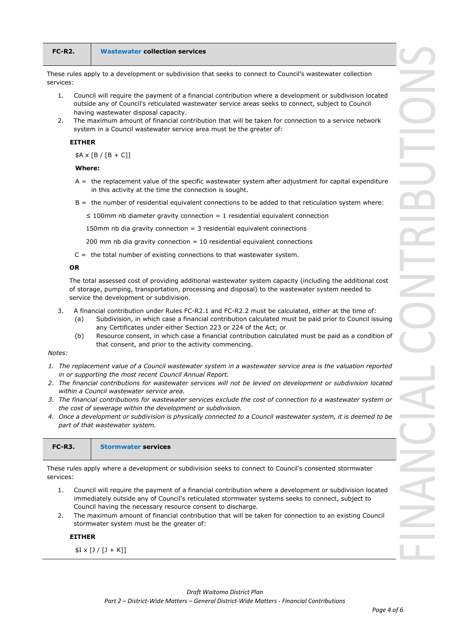| $FC-R2.$  | <b>Wastewater collection services</b>                                                                                                                                                                                                                 |
|-----------|-------------------------------------------------------------------------------------------------------------------------------------------------------------------------------------------------------------------------------------------------------|
| services: | These rules apply to a development or subdivision that seeks to connect to Council's wastewater collection                                                                                                                                            |
| 1.        | Council will require the payment of a financial contribution where a development or subdivision located<br>outside any of Council's reticulated wastewater service areas seeks to connect, subject to Council<br>having wastewater disposal capacity. |
| 2.        | The maximum amount of financial contribution that will be taken for connection to a service network<br>system in a Council wastewater service area must be the greater of:                                                                            |

#### **EITHER**

 $$A \times [B / [B + C]]$ 

#### **Where:**

- A = the replacement value of the specific wastewater system after adjustment for capital expenditure in this activity at the time the connection is sought.
- B = the number of residential equivalent connections to be added to that reticulation system where:

 $\leq$  100mm nb diameter gravity connection = 1 residential equivalent connection

150mm nb dia gravity connection  $=$  3 residential equivalent connections

200 mm nb dia gravity connection  $= 10$  residential equivalent connections

 $C =$  the total number of existing connections to that wastewater system.

#### **OR**

The total assessed cost of providing additional wastewater system capacity (including the additional cost of storage, pumping, transportation, processing and disposal) to the wastewater system needed to service the development or subdivision.

- 3. A financial contribution under Rules FC-R2.1 and FC-R2.2 must be calculated, either at the time of:
	- (a) Subdivision, in which case a financial contribution calculated must be paid prior to Council issuing any Certificates under either Section 223 or 224 of the Act; or
	- (b) Resource consent, in which case a financial contribution calculated must be paid as a condition of that consent, and prior to the activity commencing.

#### *Notes:*

- *1. The replacement value of a Council wastewater system in a wastewater service area is the valuation reported in or supporting the most recent Council Annual Report.*
- *2. The financial contributions for wastewater services will not be levied on development or subdivision located within a Council wastewater service area.*
- *3. The financial contributions for wastewater services exclude the cost of connection to a wastewater system or the cost of sewerage within the development or subdivision.*
- *4. Once a development or subdivision is physically connected to a Council wastewater system, it is deemed to be part of that wastewater system.*

| $FC-R3.$ | <b>Stormwater services</b> |  |
|----------|----------------------------|--|
|----------|----------------------------|--|

These rules apply where a development or subdivision seeks to connect to Council's consented stormwater services:

- 1. Council will require the payment of a financial contribution where a development or subdivision located immediately outside any of Council's reticulated stormwater systems seeks to connect, subject to Council having the necessary resource consent to discharge.
- 2. The maximum amount of financial contribution that will be taken for connection to an existing Council stormwater system must be the greater of:

#### **EITHER**

 $$I \times [J / [J + K]]$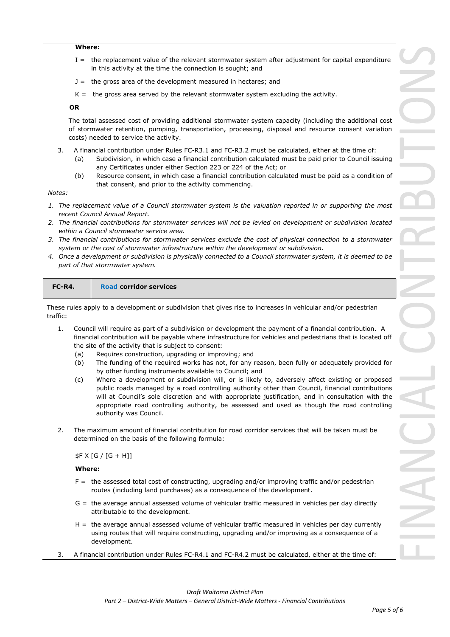#### **Where:**

- I = the replacement value of the relevant stormwater system after adjustment for capital expenditure in this activity at the time the connection is sought; and
- J = the gross area of the development measured in hectares; and
- $K =$  the gross area served by the relevant stormwater system excluding the activity.

**OR**

The total assessed cost of providing additional stormwater system capacity (including the additional cost of stormwater retention, pumping, transportation, processing, disposal and resource consent variation costs) needed to service the activity.

- 3. A financial contribution under Rules FC-R3.1 and FC-R3.2 must be calculated, either at the time of:
	- (a) Subdivision, in which case a financial contribution calculated must be paid prior to Council issuing any Certificates under either Section 223 or 224 of the Act; or
	- (b) Resource consent, in which case a financial contribution calculated must be paid as a condition of that consent, and prior to the activity commencing.

#### *Notes:*

- *1. The replacement value of a Council stormwater system is the valuation reported in or supporting the most recent Council Annual Report.*
- *2. The financial contributions for stormwater services will not be levied on development or subdivision located within a Council stormwater service area.*
- *3. The financial contributions for stormwater services exclude the cost of physical connection to a stormwater system or the cost of stormwater infrastructure within the development or subdivision.*
- *4. Once a development or subdivision is physically connected to a Council stormwater system, it is deemed to be part of that stormwater system.*

| $FC-R4.$ | <b>Road corridor services</b> |  |
|----------|-------------------------------|--|
|          |                               |  |

These rules apply to a development or subdivision that gives rise to increases in vehicular and/or pedestrian traffic:

- 1. Council will require as part of a subdivision or development the payment of a financial contribution. A financial contribution will be payable where infrastructure for vehicles and pedestrians that is located off the site of the activity that is subject to consent:
	- (a) Requires construction, upgrading or improving; and
	- (b) The funding of the required works has not, for any reason, been fully or adequately provided for by other funding instruments available to Council; and
	- (c) Where a development or subdivision will, or is likely to, adversely affect existing or proposed public roads managed by a road controlling authority other than Council, financial contributions will at Council's sole discretion and with appropriate justification, and in consultation with the appropriate road controlling authority, be assessed and used as though the road controlling authority was Council.
- 2. The maximum amount of financial contribution for road corridor services that will be taken must be determined on the basis of the following formula:

#### $$F X [G / [G + H]]$

#### **Where:**

- F = the assessed total cost of constructing, upgrading and/or improving traffic and/or pedestrian routes (including land purchases) as a consequence of the development.
- G = the average annual assessed volume of vehicular traffic measured in vehicles per day directly attributable to the development.
- H = the average annual assessed volume of vehicular traffic measured in vehicles per day currently using routes that will require constructing, upgrading and/or improving as a consequence of a development.
- 3. A financial contribution under Rules FC-R4.1 and FC-R4.2 must be calculated, either at the time of: